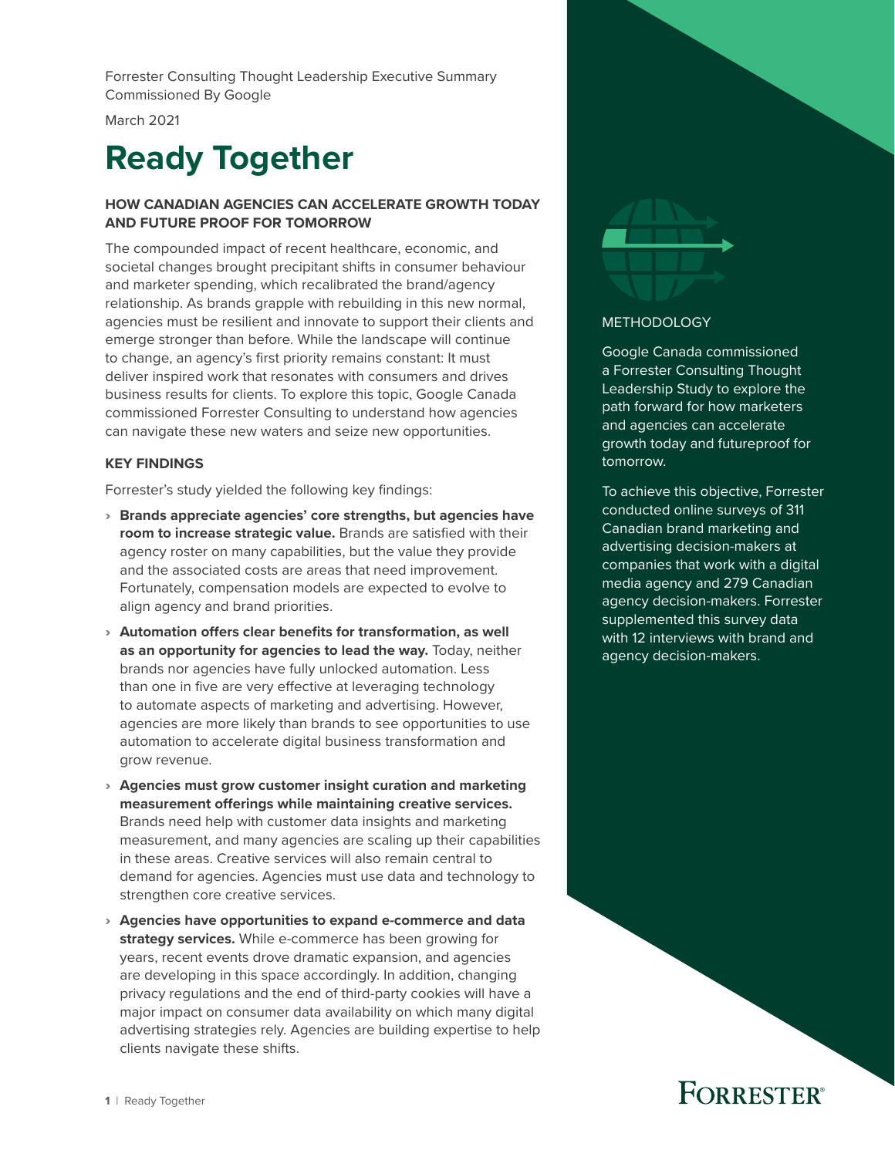Forrester Consulting Thought Leadership Executive Summary Commissioned By Google

March 2021

# **Ready Together**

#### **HOW CANADIAN AGENCIES CAN ACCELERATE GROWTH TODAY AND FUTURE PROOF FOR TOMORROW**

The compounded impact of recent healthcare, economic, and societal changes brought precipitant shifts in consumer behaviour and marketer spending, which recalibrated the brand/agency relationship. As brands grapple with rebuilding in this new normal, agencies must be resilient and innovate to support their clients and emerge stronger than before. While the landscape will continue to change, an agency's first priority remains constant: It must deliver inspired work that resonates with consumers and drives business results for clients. To explore this topic, Google Canada commissioned Forrester Consulting to understand how agencies can navigate these new waters and seize new opportunities.

#### **KEY FINDINGS**

Forrester's study yielded the following key findings:

- › **Brands appreciate agencies' core strengths, but agencies have room to increase strategic value.** Brands are satisfied with their agency roster on many capabilities, but the value they provide and the associated costs are areas that need improvement. Fortunately, compensation models are expected to evolve to align agency and brand priorities.
- › **Automation offers clear benefits for transformation, as well as an opportunity for agencies to lead the way.** Today, neither brands nor agencies have fully unlocked automation. Less than one in five are very effective at leveraging technology to automate aspects of marketing and advertising. However, agencies are more likely than brands to see opportunities to use automation to accelerate digital business transformation and grow revenue.
- › **Agencies must grow customer insight curation and marketing measurement offerings while maintaining creative services.** Brands need help with customer data insights and marketing measurement, and many agencies are scaling up their capabilities in these areas. Creative services will also remain central to demand for agencies. Agencies must use data and technology to strengthen core creative services.
- › **Agencies have opportunities to expand e-commerce and data strategy services.** While e-commerce has been growing for years, recent events drove dramatic expansion, and agencies are developing in this space accordingly. In addition, changing privacy regulations and the end of third-party cookies will have a major impact on consumer data availability on which many digital advertising strategies rely. Agencies are building expertise to help clients navigate these shifts.



#### METHODOLOGY

Google Canada commissioned a Forrester Consulting Thought Leadership Study to explore the path forward for how marketers and agencies can accelerate growth today and futureproof for tomorrow.

To achieve this objective, Forrester conducted online surveys of 311 Canadian brand marketing and advertising decision-makers at companies that work with a digital media agency and 279 Canadian agency decision-makers. Forrester supplemented this survey data with 12 interviews with brand and agency decision-makers.

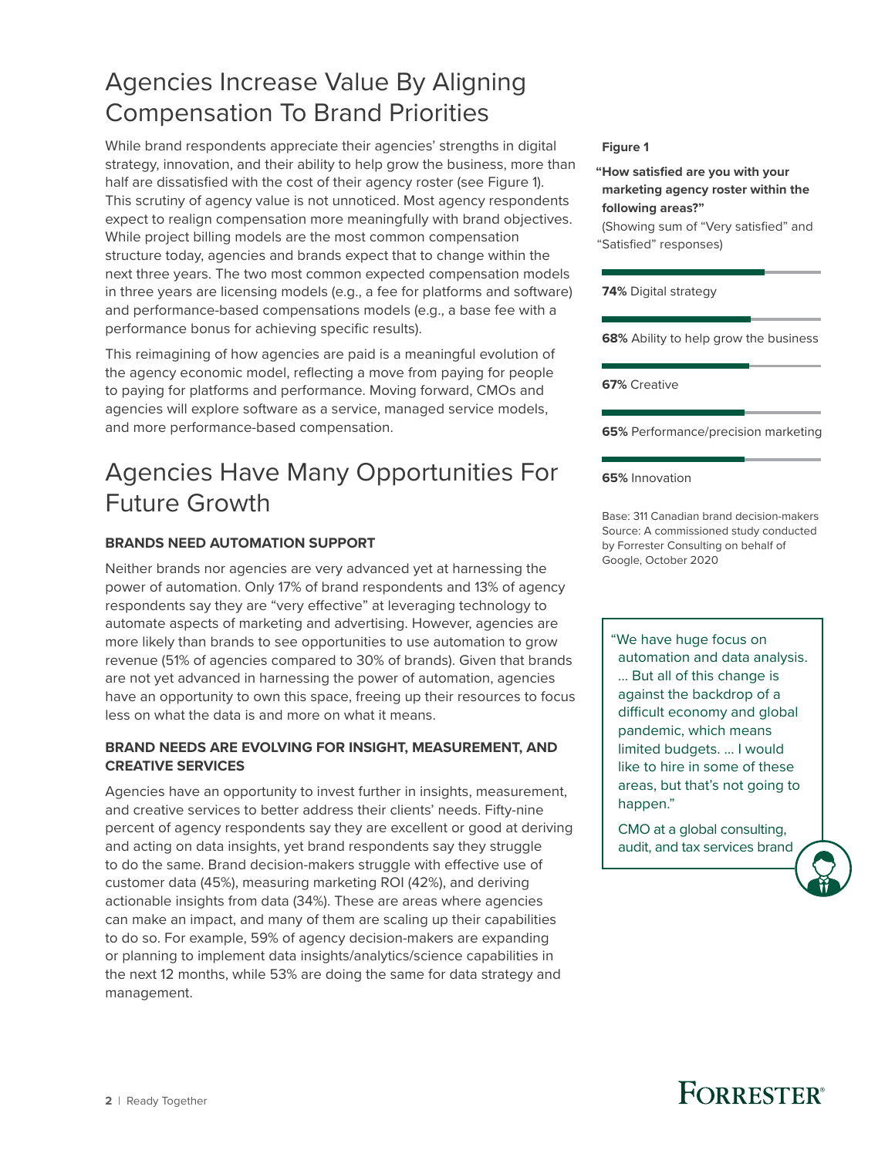### Agencies Increase Value By Aligning Compensation To Brand Priorities

While brand respondents appreciate their agencies' strengths in digital strategy, innovation, and their ability to help grow the business, more than half are dissatisfied with the cost of their agency roster (see Figure 1). This scrutiny of agency value is not unnoticed. Most agency respondents expect to realign compensation more meaningfully with brand objectives. While project billing models are the most common compensation structure today, agencies and brands expect that to change within the next three years. The two most common expected compensation models in three years are licensing models (e.g., a fee for platforms and software) and performance-based compensations models (e.g., a base fee with a performance bonus for achieving specific results).

This reimagining of how agencies are paid is a meaningful evolution of the agency economic model, reflecting a move from paying for people to paying for platforms and performance. Moving forward, CMOs and agencies will explore software as a service, managed service models, and more performance-based compensation.

### Agencies Have Many Opportunities For Future Growth

#### **BRANDS NEED AUTOMATION SUPPORT**

Neither brands nor agencies are very advanced yet at harnessing the power of automation. Only 17% of brand respondents and 13% of agency respondents say they are "very effective" at leveraging technology to automate aspects of marketing and advertising. However, agencies are more likely than brands to see opportunities to use automation to grow revenue (51% of agencies compared to 30% of brands). Given that brands are not yet advanced in harnessing the power of automation, agencies have an opportunity to own this space, freeing up their resources to focus less on what the data is and more on what it means.

#### **BRAND NEEDS ARE EVOLVING FOR INSIGHT, MEASUREMENT, AND CREATIVE SERVICES**

Agencies have an opportunity to invest further in insights, measurement, and creative services to better address their clients' needs. Fifty-nine percent of agency respondents say they are excellent or good at deriving and acting on data insights, yet brand respondents say they struggle to do the same. Brand decision-makers struggle with effective use of customer data (45%), measuring marketing ROI (42%), and deriving actionable insights from data (34%). These are areas where agencies can make an impact, and many of them are scaling up their capabilities to do so. For example, 59% of agency decision-makers are expanding or planning to implement data insights/analytics/science capabilities in the next 12 months, while 53% are doing the same for data strategy and management.

#### **Figure 1**

**"How satisfied are you with your marketing agency roster within the following areas?"**

(Showing sum of "Very satisfied" and "Satisfied" responses)

**74%** Digital strategy

**68%** Ability to help grow the business

**67%** Creative

**65%** Performance/precision marketing

**65%** Innovation

Base: 311 Canadian brand decision-makers Source: A commissioned study conducted by Forrester Consulting on behalf of Google, October 2020

"We have huge focus on automation and data analysis. … But all of this change is against the backdrop of a difficult economy and global pandemic, which means limited budgets. … I would like to hire in some of these areas, but that's not going to happen."

CMO at a global consulting, audit, and tax services brand